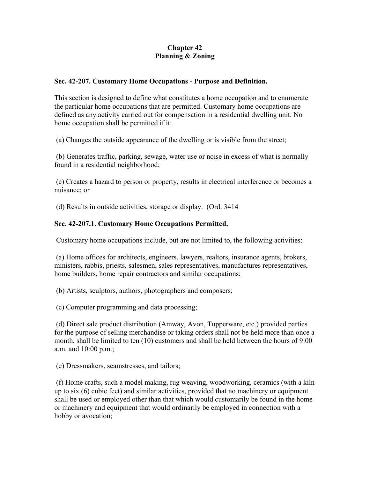# **Chapter 42 Planning & Zoning**

## **Sec. 42-207. Customary Home Occupations - Purpose and Definition.**

This section is designed to define what constitutes a home occupation and to enumerate the particular home occupations that are permitted. Customary home occupations are defined as any activity carried out for compensation in a residential dwelling unit. No home occupation shall be permitted if it:

(a) Changes the outside appearance of the dwelling or is visible from the street;

 (b) Generates traffic, parking, sewage, water use or noise in excess of what is normally found in a residential neighborhood;

 (c) Creates a hazard to person or property, results in electrical interference or becomes a nuisance; or

(d) Results in outside activities, storage or display. (Ord. 3414

#### **Sec. 42-207.1. Customary Home Occupations Permitted.**

Customary home occupations include, but are not limited to, the following activities:

 (a) Home offices for architects, engineers, lawyers, realtors, insurance agents, brokers, ministers, rabbis, priests, salesmen, sales representatives, manufactures representatives, home builders, home repair contractors and similar occupations;

(b) Artists, sculptors, authors, photographers and composers;

(c) Computer programming and data processing;

 (d) Direct sale product distribution (Amway, Avon, Tupperware, etc.) provided parties for the purpose of selling merchandise or taking orders shall not be held more than once a month, shall be limited to ten (10) customers and shall be held between the hours of 9:00 a.m. and 10:00 p.m.;

(e) Dressmakers, seamstresses, and tailors;

 (f) Home crafts, such a model making, rug weaving, woodworking, ceramics (with a kiln up to six (6) cubic feet) and similar activities, provided that no machinery or equipment shall be used or employed other than that which would customarily be found in the home or machinery and equipment that would ordinarily be employed in connection with a hobby or avocation;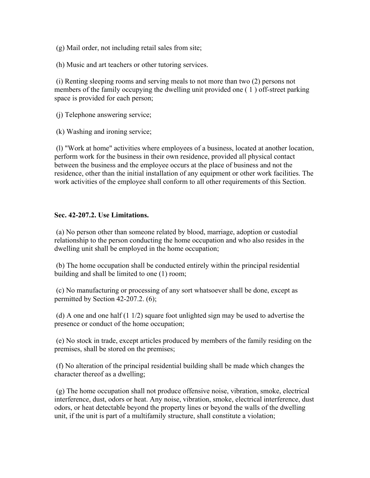(g) Mail order, not including retail sales from site;

(h) Music and art teachers or other tutoring services.

 (i) Renting sleeping rooms and serving meals to not more than two (2) persons not members of the family occupying the dwelling unit provided one ( 1 ) off-street parking space is provided for each person;

(j) Telephone answering service;

(k) Washing and ironing service;

 (l) "Work at home" activities where employees of a business, located at another location, perform work for the business in their own residence, provided all physical contact between the business and the employee occurs at the place of business and not the residence, other than the initial installation of any equipment or other work facilities. The work activities of the employee shall conform to all other requirements of this Section.

#### **Sec. 42-207.2. Use Limitations.**

 (a) No person other than someone related by blood, marriage, adoption or custodial relationship to the person conducting the home occupation and who also resides in the dwelling unit shall be employed in the home occupation;

 (b) The home occupation shall be conducted entirely within the principal residential building and shall be limited to one (1) room;

 (c) No manufacturing or processing of any sort whatsoever shall be done, except as permitted by Section 42-207.2. (6);

 (d) A one and one half (1 1/2) square foot unlighted sign may be used to advertise the presence or conduct of the home occupation;

 (e) No stock in trade, except articles produced by members of the family residing on the premises, shall be stored on the premises;

 (f) No alteration of the principal residential building shall be made which changes the character thereof as a dwelling;

 (g) The home occupation shall not produce offensive noise, vibration, smoke, electrical interference, dust, odors or heat. Any noise, vibration, smoke, electrical interference, dust odors, or heat detectable beyond the property lines or beyond the walls of the dwelling unit, if the unit is part of a multifamily structure, shall constitute a violation;